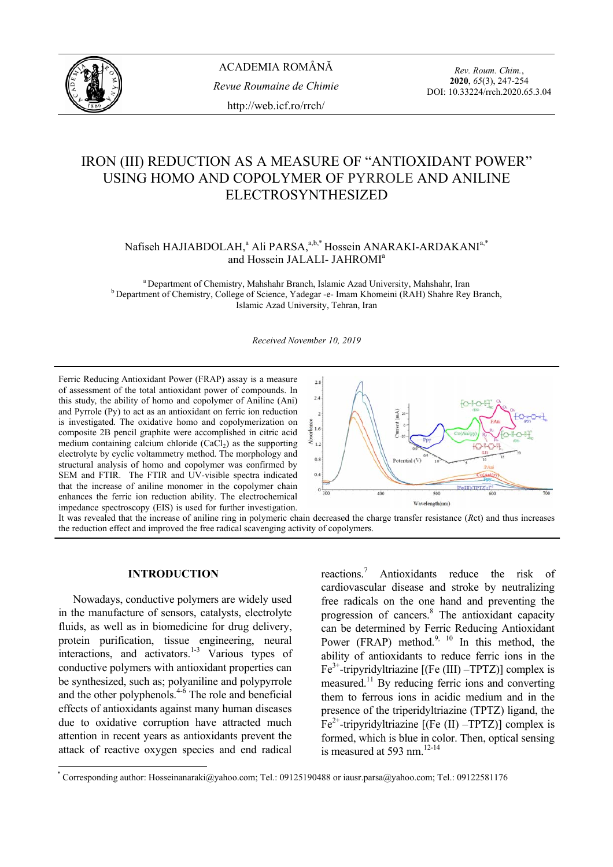

*Rev. Roum. Chim.*, **2020**, *65*(3), 247-254 DOI: 10.33224/rrch.2020.65.3.04

# IRON (III) REDUCTION AS A MEASURE OF "ANTIOXIDANT POWER" USING HOMO AND COPOLYMER OF PYRROLE AND ANILINE ELECTROSYNTHESIZED

Nafiseh HAJIABDOLAH,<sup>a</sup> Ali PARSA,<sup>a,b,\*</sup> Hossein ANARAKI-ARDAKANI<sup>a,\*</sup> and Hossein JALALI- JAHROMI<sup>a</sup>

<sup>a</sup> Department of Chemistry, Mahshahr Branch, Islamic Azad University, Mahshahr, Iran b Department of Chemistry, College of Science, Yadegar -e- Imam Khomeini (RAH) Shahre Rey Branch, Islamic Azad University, Tehran, Iran

*Received November 10, 2019* 

Ferric Reducing Antioxidant Power (FRAP) assay is a measure of assessment of the total antioxidant power of compounds. In this study, the ability of homo and copolymer of Aniline (Ani) and Pyrrole (Py) to act as an antioxidant on ferric ion reduction is investigated. The oxidative homo and copolymerization on composite 2B pencil graphite were accomplished in citric acid medium containing calcium chloride  $(CaCl<sub>2</sub>)$  as the supporting electrolyte by cyclic voltammetry method. The morphology and structural analysis of homo and copolymer was confirmed by SEM and FTIR. The FTIR and UV-visible spectra indicated that the increase of aniline monomer in the copolymer chain enhances the ferric ion reduction ability. The electrochemical impedance spectroscopy (EIS) is used for further investigation.



It was revealed that the increase of aniline ring in polymeric chain decreased the charge transfer resistance (*R*ct) and thus increases the reduction effect and improved the free radical scavenging activity of copolymers.

# **INTRODUCTION\***

Nowadays, conductive polymers are widely used in the manufacture of sensors, catalysts, electrolyte fluids, as well as in biomedicine for drug delivery, protein purification, tissue engineering, neural interactions, and activators.<sup>1-3</sup> Various types of conductive polymers with antioxidant properties can be synthesized, such as; polyaniline and polypyrrole and the other polyphenols. $4-6$  The role and beneficial effects of antioxidants against many human diseases due to oxidative corruption have attracted much attention in recent years as antioxidants prevent the attack of reactive oxygen species and end radical

 $\overline{a}$ 

reactions.7 Antioxidants reduce the risk of cardiovascular disease and stroke by neutralizing free radicals on the one hand and preventing the progression of cancers.<sup>8</sup> The antioxidant capacity can be determined by Ferric Reducing Antioxidant Power (FRAP) method. $9, 10$  In this method, the ability of antioxidants to reduce ferric ions in the  $Fe<sup>3+</sup>$ -tripyridyltriazine [(Fe (III) –TPTZ)] complex is measured.<sup>11</sup> By reducing ferric ions and converting them to ferrous ions in acidic medium and in the presence of the triperidyltriazine (TPTZ) ligand, the  $Fe<sup>2+</sup>$ -tripyridyltriazine [(Fe (II) –TPTZ)] complex is formed, which is blue in color. Then, optical sensing is measured at 593 nm. $12-14$ 

<sup>\*</sup> Corresponding author: Hosseinanaraki@yahoo.com; Tel.: 09125190488 or iausr.parsa@yahoo.com; Tel.: 09122581176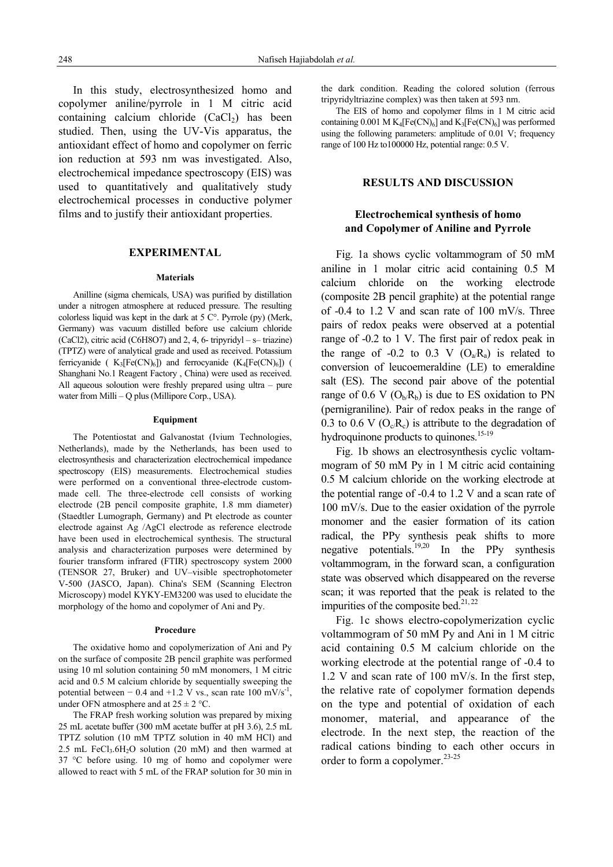In this study, electrosynthesized homo and copolymer aniline/pyrrole in 1 M citric acid containing calcium chloride  $(CaCl<sub>2</sub>)$  has been studied. Then, using the UV-Vis apparatus, the antioxidant effect of homo and copolymer on ferric ion reduction at 593 nm was investigated. Also, electrochemical impedance spectroscopy (EIS) was used to quantitatively and qualitatively study electrochemical processes in conductive polymer films and to justify their antioxidant properties.

## **EXPERIMENTAL**

#### **Materials**

Anilline (sigma chemicals, USA) was purified by distillation under a nitrogen atmosphere at reduced pressure. The resulting colorless liquid was kept in the dark at 5 C°. Pyrrole (py) (Merk, Germany) was vacuum distilled before use calcium chloride (CaCl2), citric acid (C6H8O7) and 2, 4, 6- tripyridyl – s– triazine) (TPTZ) were of analytical grade and used as received. Potassium ferricyanide ( $K_3[Fe(CN)_6]$ ) and ferrocyanide ( $K_4[Fe(CN)_6]$ ) ( Shanghani No.1 Reagent Factory , China) were used as received. All aqueous soloution were freshly prepared using ultra – pure water from Milli – Q plus (Millipore Corp., USA).

#### **Equipment**

The Potentiostat and Galvanostat (Ivium Technologies, Netherlands), made by the Netherlands, has been used to electrosynthesis and characterization electrochemical impedance spectroscopy (EIS) measurements. Electrochemical studies were performed on a conventional three-electrode custommade cell. The three-electrode cell consists of working electrode (2B pencil composite graphite, 1.8 mm diameter) (Staedtler Lumograph, Germany) and Pt electrode as counter electrode against Ag /AgCl electrode as reference electrode have been used in electrochemical synthesis. The structural analysis and characterization purposes were determined by fourier transform infrared (FTIR) spectroscopy system 2000 (TENSOR 27, Bruker) and UV–visible spectrophotometer V-500 (JASCO, Japan). China's SEM (Scanning Electron Microscopy) model KYKY-EM3200 was used to elucidate the morphology of the homo and copolymer of Ani and Py.

### **Procedure**

The oxidative homo and copolymerization of Ani and Py on the surface of composite 2B pencil graphite was performed using 10 ml solution containing 50 mM monomers, 1 M citric acid and 0.5 M calcium chloride by sequentially sweeping the potential between – 0.4 and +1.2 V vs., scan rate 100 mV/s<sup>-1</sup>, under OFN atmosphere and at  $25 \pm 2$  °C.

The FRAP fresh working solution was prepared by mixing 25 mL acetate buffer (300 mM acetate buffer at pH 3.6), 2.5 mL TPTZ solution (10 mM TPTZ solution in 40 mM HCl) and 2.5 mL FeCl<sub>3</sub>.6H<sub>2</sub>O solution (20 mM) and then warmed at 37 °C before using. 10 mg of homo and copolymer were allowed to react with 5 mL of the FRAP solution for 30 min in

the dark condition. Reading the colored solution (ferrous tripyridyltriazine complex) was then taken at 593 nm.

The EIS of homo and copolymer films in 1 M citric acid containing 0.001 M  $K_4[Fe(CN)_6]$  and  $K_3[Fe(CN)_6]$  was performed using the following parameters: amplitude of 0.01 V; frequency range of 100 Hz to100000 Hz, potential range: 0.5 V.

### **RESULTS AND DISCUSSION**

# **Electrochemical synthesis of homo and Copolymer of Aniline and Pyrrole**

Fig. 1a shows cyclic voltammogram of 50 mM aniline in 1 molar citric acid containing 0.5 M calcium chloride on the working electrode (composite 2B pencil graphite) at the potential range of -0.4 to 1.2 V and scan rate of 100 mV/s. Three pairs of redox peaks were observed at a potential range of -0.2 to 1 V. The first pair of redox peak in the range of -0.2 to 0.3 V  $(O_a/R_a)$  is related to conversion of leucoemeraldine (LE) to emeraldine salt (ES). The second pair above of the potential range of 0.6 V  $(O_b/R_b)$  is due to ES oxidation to PN (pernigraniline). Pair of redox peaks in the range of 0.3 to 0.6 V ( $O_c/R_c$ ) is attribute to the degradation of hydroquinone products to quinones.<sup>15-19</sup>

Fig. 1b shows an electrosynthesis cyclic voltammogram of 50 mM Py in 1 M citric acid containing 0.5 M calcium chloride on the working electrode at the potential range of -0.4 to 1.2 V and a scan rate of 100 mV/s. Due to the easier oxidation of the pyrrole monomer and the easier formation of its cation radical, the PPy synthesis peak shifts to more negative potentials.19,20 In the PPy synthesis voltammogram, in the forward scan, a configuration state was observed which disappeared on the reverse scan; it was reported that the peak is related to the impurities of the composite bed.<sup>21, 22</sup>

Fig. 1c shows electro-copolymerization cyclic voltammogram of 50 mM Py and Ani in 1 M citric acid containing 0.5 M calcium chloride on the working electrode at the potential range of -0.4 to  $1.2$  V and scan rate of 100 mV/s. In the first step, the relative rate of copolymer formation depends on the type and potential of oxidation of each monomer, material, and appearance of the electrode. In the next step, the reaction of the radical cations binding to each other occurs in order to form a copolymer.<sup>23-25</sup>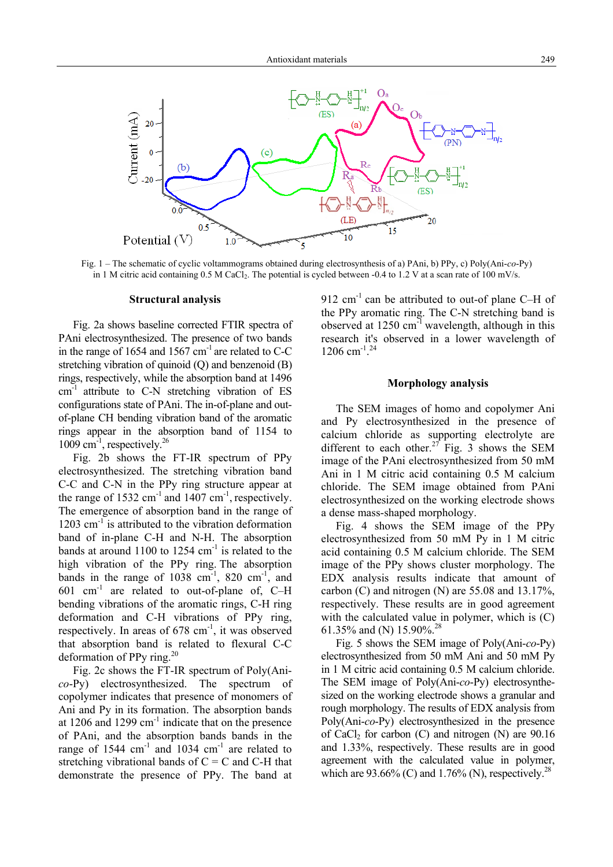

Fig. 1 – The schematic of cyclic voltammograms obtained during electrosynthesis of a) PAni, b) PPy, c) Poly(Ani-*co*-Py) in 1 M citric acid containing 0.5 M CaCl<sub>2</sub>. The potential is cycled between -0.4 to 1.2 V at a scan rate of 100 mV/s.

### **Structural analysis**

Fig. 2a shows baseline corrected FTIR spectra of PAni electrosynthesized. The presence of two bands in the range of 1654 and 1567  $\text{cm}^{-1}$  are related to C-C stretching vibration of quinoid (Q) and benzenoid (B) rings, respectively, while the absorption band at 1496  $cm<sup>-1</sup>$  attribute to C-N stretching vibration of ES configurations state of PAni. The in-of-plane and outof-plane CH bending vibration band of the aromatic rings appear in the absorption band of 1154 to 1009 cm-1, respectively.26

Fig. 2b shows the FT-IR spectrum of PPy electrosynthesized. The stretching vibration band C-C and C-N in the PPy ring structure appear at the range of  $1532 \text{ cm}^{-1}$  and  $1407 \text{ cm}^{-1}$ , respectively. The emergence of absorption band in the range of  $1203$  cm<sup>-1</sup> is attributed to the vibration deformation band of in-plane C-H and N-H. The absorption bands at around  $1100$  to  $1254$  cm<sup>-1</sup> is related to the high vibration of the PPy ring. The absorption bands in the range of  $1038 \text{ cm}^{-1}$ , 820 cm<sup>-1</sup>, and 601 cm-1 are related to out-of-plane of, C–H bending vibrations of the aromatic rings, C-H ring deformation and C-H vibrations of PPy ring, respectively. In areas of 678 cm<sup>-1</sup>, it was observed that absorption band is related to flexural C-C deformation of PPy ring. $^{20}$ 

Fig. 2c shows the FT-IR spectrum of Poly(Ani*co*-Py) electrosynthesized. The spectrum of copolymer indicates that presence of monomers of Ani and Py in its formation. The absorption bands at 1206 and 1299  $cm^{-1}$  indicate that on the presence of PAni, and the absorption bands bands in the range of  $1544 \text{ cm}^{-1}$  and  $1034 \text{ cm}^{-1}$  are related to stretching vibrational bands of  $C = C$  and C-H that demonstrate the presence of PPy. The band at

912  $cm^{-1}$  can be attributed to out-of plane C–H of the PPy aromatic ring. The C-N stretching band is observed at  $1250 \text{ cm}^{-1}$  wavelength, although in this research it's observed in a lower wavelength of 1206 cm<sup>-1</sup>.<sup>24</sup>

### **Morphology analysis**

The SEM images of homo and copolymer Ani and Py electrosynthesized in the presence of calcium chloride as supporting electrolyte are different to each other.<sup>27</sup> Fig. 3 shows the SEM image of the PAni electrosynthesized from 50 mM Ani in 1 M citric acid containing 0.5 M calcium chloride. The SEM image obtained from PAni electrosynthesized on the working electrode shows a dense mass-shaped morphology.

Fig. 4 shows the SEM image of the PPy electrosynthesized from 50 mM Py in 1 M citric acid containing 0.5 M calcium chloride. The SEM image of the PPy shows cluster morphology. The EDX analysis results indicate that amount of carbon (C) and nitrogen (N) are 55.08 and 13.17%, respectively. These results are in good agreement with the calculated value in polymer, which is (C) 61.35% and (N) 15.90%.28

Fig. 5 shows the SEM image of Poly(Ani-*co*-Py) electrosynthesized from 50 mM Ani and 50 mM Py in 1 M citric acid containing 0.5 M calcium chloride. The SEM image of Poly(Ani-*co*-Py) electrosynthesized on the working electrode shows a granular and rough morphology. The results of EDX analysis from Poly(Ani-*co*-Py) electrosynthesized in the presence of CaCl<sub>2</sub> for carbon (C) and nitrogen (N) are  $90.16$ and 1.33%, respectively. These results are in good agreement with the calculated value in polymer, which are 93.66% (C) and 1.76% (N), respectively.<sup>28</sup>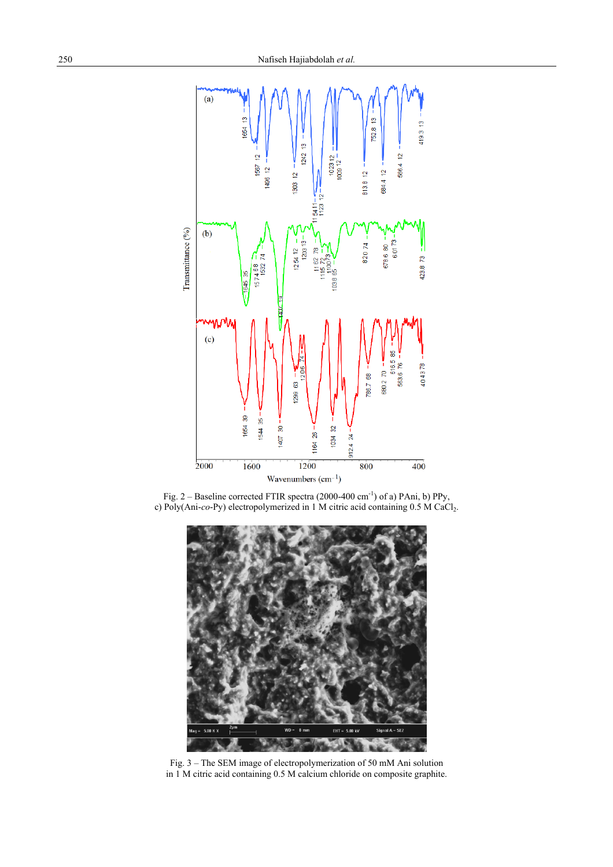





Fig. 3 – The SEM image of electropolymerization of 50 mM Ani solution in 1 M citric acid containing 0.5 M calcium chloride on composite graphite.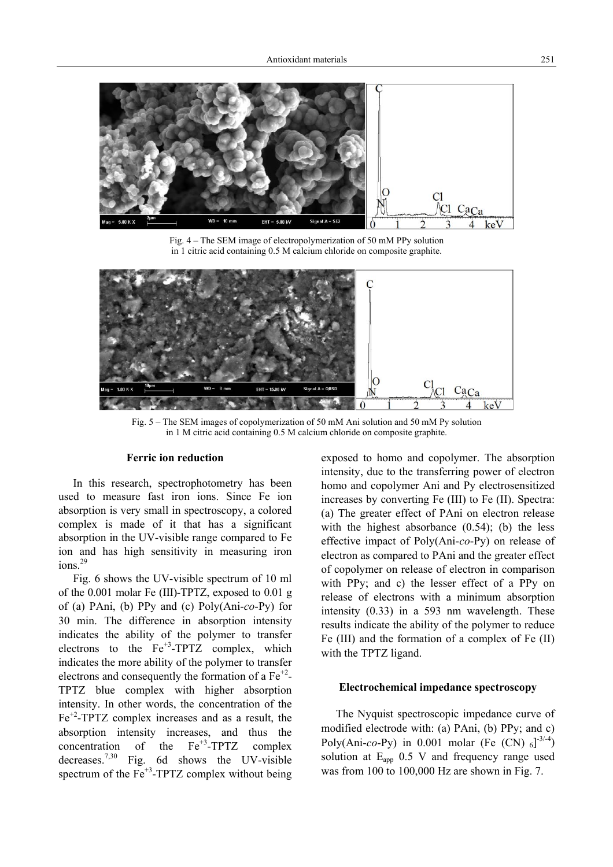

Fig. 4 – The SEM image of electropolymerization of 50 mM PPy solution in 1 citric acid containing 0.5 M calcium chloride on composite graphite.



Fig. 5 – The SEM images of copolymerization of 50 mM Ani solution and 50 mM Py solution in 1 M citric acid containing 0.5 M calcium chloride on composite graphite.

## **Ferric ion reduction**

In this research, spectrophotometry has been used to measure fast iron ions. Since Fe ion absorption is very small in spectroscopy, a colored complex is made of it that has a significant absorption in the UV-visible range compared to Fe ion and has high sensitivity in measuring iron ions.<sup>29</sup>

Fig. 6 shows the UV-visible spectrum of 10 ml of the 0.001 molar Fe (III)-TPTZ, exposed to 0.01 g of (a) PAni, (b) PPy and (c) Poly(Ani-*co*-Py) for 30 min. The difference in absorption intensity indicates the ability of the polymer to transfer electrons to the  $Fe^{+3}$ -TPTZ complex, which indicates the more ability of the polymer to transfer electrons and consequently the formation of a  $Fe^{+2}$ -TPTZ blue complex with higher absorption intensity. In other words, the concentration of the  $Fe<sup>+2</sup>-TPTZ$  complex increases and as a result, the absorption intensity increases, and thus the concentration of the  $Fe^{+3}$ -TPTZ complex decreases.<sup>7,30</sup> Fig. 6d shows the UV-visible spectrum of the  $Fe<sup>+3</sup>$ -TPTZ complex without being exposed to homo and copolymer. The absorption intensity, due to the transferring power of electron homo and copolymer Ani and Py electrosensitized increases by converting Fe (III) to Fe (II). Spectra: (a) The greater effect of PAni on electron release with the highest absorbance  $(0.54)$ ; (b) the less effective impact of Poly(Ani-*co*-Py) on release of electron as compared to PAni and the greater effect of copolymer on release of electron in comparison with PPy; and c) the lesser effect of a PPy on release of electrons with a minimum absorption intensity (0.33) in a 593 nm wavelength. These results indicate the ability of the polymer to reduce Fe (III) and the formation of a complex of Fe (II) with the TPTZ ligand.

### **Electrochemical impedance spectroscopy**

The Nyquist spectroscopic impedance curve of modified electrode with: (a) PAni, (b) PPy; and c) Poly(Ani-*co*-Py) in 0.001 molar (Fe (CN)  $_{6}$ ]<sup>-3/-4</sup>) solution at Eapp 0.5 V and frequency range used was from 100 to 100,000 Hz are shown in Fig. 7.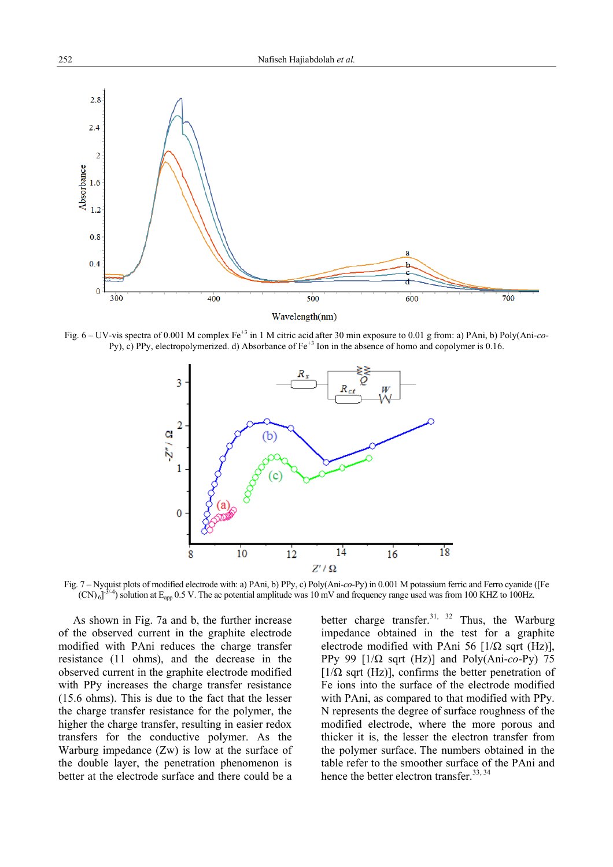

Fig. 6 – UV-vis spectra of 0.001 M complex Fe<sup>+3</sup> in 1 M citric acid after 30 min exposure to 0.01 g from: a) PAni, b) Poly(Ani-*co*-Py), c) PPy, electropolymerized. d) Absorbance of  $Fe^{+3}$  Ion in the absence of homo and copolymer is 0.16.



Fig. 7 – Nyquist plots of modified electrode with: a) PAni, b) PPy, c) Poly(Ani-*co*-Py) in 0.001 M potassium ferric and Ferro cyanide ([Fe  $(CN)_{6}$ ]<sup>3/-4</sup>) solution at E<sub>app</sub> 0.5 V. The ac potential amplitude was 10 mV and frequency range used was from 100 KHZ to 100Hz.

As shown in Fig. 7a and b, the further increase of the observed current in the graphite electrode modified with PAni reduces the charge transfer resistance (11 ohms), and the decrease in the observed current in the graphite electrode modified with PPy increases the charge transfer resistance (15.6 ohms). This is due to the fact that the lesser the charge transfer resistance for the polymer, the higher the charge transfer, resulting in easier redox transfers for the conductive polymer. As the Warburg impedance (Zw) is low at the surface of the double layer, the penetration phenomenon is better at the electrode surface and there could be a better charge transfer.<sup>31, 32</sup> Thus, the Warburg impedance obtained in the test for a graphite electrode modified with PAni 56  $[1/\Omega \text{ sqrt (Hz)}]$ , PPy 99 [1/Ω sqrt (Hz)] and Poly(Ani-*co*-Py) 75  $[1/\Omega$  sqrt (Hz)], confirms the better penetration of Fe ions into the surface of the electrode modified with PAni, as compared to that modified with PPy. N represents the degree of surface roughness of the modified electrode, where the more porous and thicker it is, the lesser the electron transfer from the polymer surface. The numbers obtained in the table refer to the smoother surface of the PAni and hence the better electron transfer.<sup>33, 34</sup>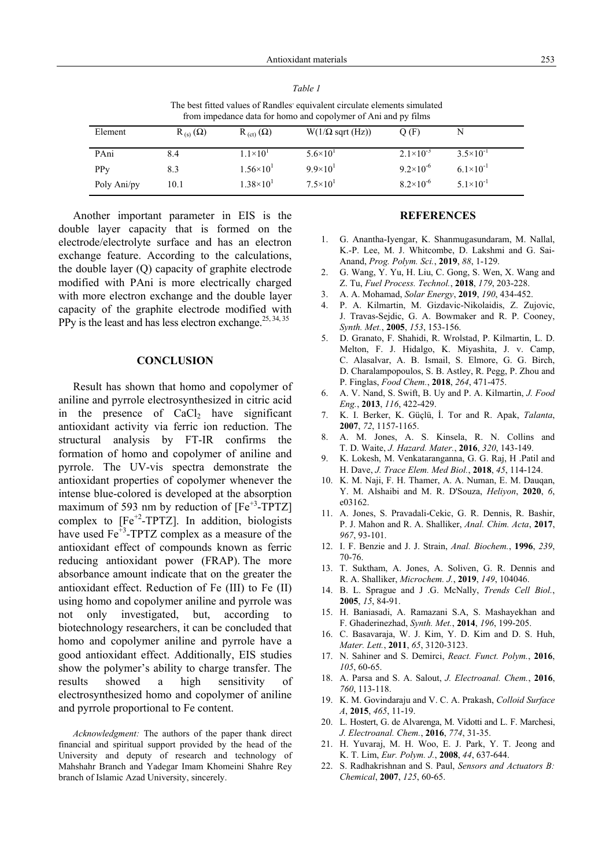*Table 1*

| The best fitted values of Randles' equivalent circulate elements simulated<br>from impedance data for homo and copolymer of Ani and py films |                   |                      |                                 |                      |                      |
|----------------------------------------------------------------------------------------------------------------------------------------------|-------------------|----------------------|---------------------------------|----------------------|----------------------|
| Element                                                                                                                                      | $R_{(s)}(\Omega)$ | $R_{(ct)}(\Omega)$   | $W(1/\Omega \text{ sqrt (Hz)})$ | O(F)                 | N                    |
| PAni                                                                                                                                         | 8.4               | $1.1 \times 10^{1}$  | $5.6 \times 10^{1}$             | $2.1 \times 10^{-3}$ | $3.5 \times 10^{-1}$ |
| PP <sub>V</sub>                                                                                                                              | 8.3               | $1.56 \times 10^{1}$ | $9.9\times10^{1}$               | $9.2 \times 10^{-6}$ | $6.1\times10^{-1}$   |
| Poly Ani/py                                                                                                                                  | 10.1              | $1.38\times10^{1}$   | $7.5 \times 10^{1}$             | $8.2\times10^{-6}$   | $5.1 \times 10^{-1}$ |

Another important parameter in EIS is the double layer capacity that is formed on the electrode/electrolyte surface and has an electron exchange feature. According to the calculations, the double layer (Q) capacity of graphite electrode modified with PAni is more electrically charged with more electron exchange and the double layer capacity of the graphite electrode modified with PPy is the least and has less electron exchange.<sup>25, 34, 35</sup>

### **CONCLUSION**

Result has shown that homo and copolymer of aniline and pyrrole electrosynthesized in citric acid in the presence of  $CaCl<sub>2</sub>$  have significant antioxidant activity via ferric ion reduction. The structural analysis by FT-IR confirms the formation of homo and copolymer of aniline and pyrrole. The UV-vis spectra demonstrate the antioxidant properties of copolymer whenever the intense blue-colored is developed at the absorption maximum of 593 nm by reduction of  $[Fe^{+3}\text{-}TPTZ]$ complex to  $[Fe^{+2}$-TPTZ]$ . In addition, biologists have used  $Fe^{+3}$ -TPTZ complex as a measure of the antioxidant effect of compounds known as ferric reducing antioxidant power (FRAP). The more absorbance amount indicate that on the greater the antioxidant effect. Reduction of Fe (III) to Fe (II) using homo and copolymer aniline and pyrrole was not only investigated, but, according biotechnology researchers, it can be concluded that homo and copolymer aniline and pyrrole have a good antioxidant effect. Additionally, EIS studies show the polymer's ability to charge transfer. The results showed a high sensitivity of electrosynthesized homo and copolymer of aniline and pyrrole proportional to Fe content.

*Acknowledgment:* The authors of the paper thank direct financial and spiritual support provided by the head of the University and deputy of research and technology of Mahshahr Branch and Yadegar Imam Khomeini Shahre Rey branch of Islamic Azad University, sincerely.

### **REFERENCES**

- 1. G. Anantha-Iyengar, K. Shanmugasundaram, M. Nallal, K.-P. Lee, M. J. Whitcombe, D. Lakshmi and G. Sai-Anand, *Prog. Polym. Sci.*, **2019**, *88*, 1-129.
- 2. G. Wang, Y. Yu, H. Liu, C. Gong, S. Wen, X. Wang and Z. Tu, *Fuel Process. Technol.*, **2018**, *179*, 203-228.
- 3. A. A. Mohamad, *Solar Energy*, **2019**, *190*, 434-452.
- 4. P. A. Kilmartin, M. Gizdavic-Nikolaidis, Z. Zujovic, J. Travas-Sejdic, G. A. Bowmaker and R. P. Cooney, *Synth. Met.*, **2005**, *153*, 153-156.
- 5. D. Granato, F. Shahidi, R. Wrolstad, P. Kilmartin, L. D. Melton, F. J. Hidalgo, K. Miyashita, J. v. Camp, C. Alasalvar, A. B. Ismail, S. Elmore, G. G. Birch, D. Charalampopoulos, S. B. Astley, R. Pegg, P. Zhou and P. Finglas, *Food Chem.*, **2018**, *264*, 471-475.
- 6. A. V. Nand, S. Swift, B. Uy and P. A. Kilmartin, *J. Food Eng.*, **2013**, *116*, 422-429.
- 7. K. I. Berker, K. Güçlü, İ. Tor and R. Apak, *Talanta*, **2007**, *72*, 1157-1165.
- 8. A. M. Jones, A. S. Kinsela, R. N. Collins and T. D. Waite, *J. Hazard. Mater.*, **2016**, *320*, 143-149.
- 9. K. Lokesh, M. Venkataranganna, G. G. Raj, H .Patil and H. Dave, *J. Trace Elem. Med Biol.*, **2018**, *45*, 114-124.
- 10. K. M. Naji, F. H. Thamer, A. A. Numan, E. M. Dauqan, Y. M. Alshaibi and M. R. D'Souza, *Heliyon*, **2020**, *6*, e03162.
- 11. A. Jones, S. Pravadali-Cekic, G. R. Dennis, R. Bashir, P. J. Mahon and R. A. Shalliker, *Anal. Chim. Acta*, **2017**, *967*, 93-101.
- 12. I. F. Benzie and J. J. Strain, *Anal. Biochem.*, **1996**, *239*, 70-76.
- 13. T. Suktham, A. Jones, A. Soliven, G. R. Dennis and R. A. Shalliker, *Microchem. J.*, **2019**, *149*, 104046.
- 14. B. L. Sprague and J .G. McNally, *Trends Cell Biol.*, **2005**, *15*, 84-91.
- 15. H. Baniasadi, A. Ramazani S.A, S. Mashayekhan and F. Ghaderinezhad, *Synth. Met.*, **2014**, *196*, 199-205.
- 16. C. Basavaraja, W. J. Kim, Y. D. Kim and D. S. Huh, *Mater. Lett.*, **2011**, *65*, 3120-3123.
- 17. N. Sahiner and S. Demirci, *React. Funct. Polym.*, **2016**, *105*, 60-65.
- 18. A. Parsa and S. A. Salout, *J. Electroanal. Chem.*, **2016**, *760*, 113-118.
- 19. K. M. Govindaraju and V. C. A. Prakash, *Colloid Surface A*, **2015**, *465*, 11-19.
- 20. L. Hostert, G. de Alvarenga, M. Vidotti and L. F. Marchesi, *J. Electroanal. Chem.*, **2016**, *774*, 31-35.
- 21. H. Yuvaraj, M. H. Woo, E. J. Park, Y. T. Jeong and K. T. Lim, *Eur. Polym. J.*, **2008**, *44*, 637-644.
- 22. S. Radhakrishnan and S. Paul, *Sensors and Actuators B: Chemical*, **2007**, *125*, 60-65.